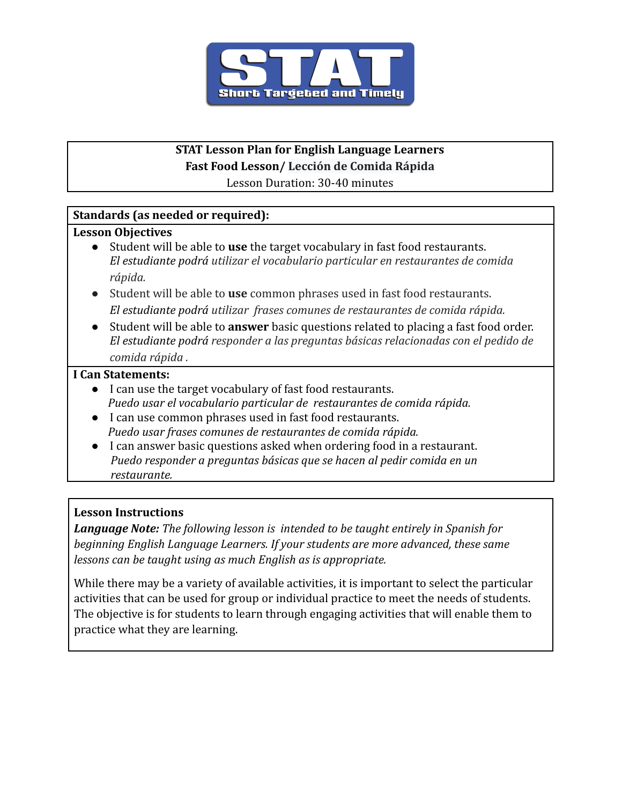

# **STAT Lesson Plan for English Language Learners**

**Fast Food Lesson/ Lección de Comida Rápida**

Lesson Duration: 30-40 minutes

# **Standards (as needed or required):**

## **Lesson Objectives**

- Student will be able to **use** the target vocabulary in fast food restaurants. *El estudiante podrá utilizar el vocabulario particular en restaurantes de comida rápida.*
- Student will be able to **use** common phrases used in fast food restaurants. *El estudiante podrá utilizar frases comunes de restaurantes de comida rápida.*
- Student will be able to **answer** basic questions related to placing a fast food order. *El estudiante podrá responder a las preguntas básicas relacionadas con el pedido de comida rápida .*

## **I Can Statements:**

- I can use the target vocabulary of fast food restaurants. *Puedo usar el vocabulario particular de restaurantes de comida rápida.*
- I can use common phrases used in fast food restaurants. *Puedo usar frases comunes de restaurantes de comida rápida.*
- I can answer basic questions asked when ordering food in a restaurant. *Puedo responder a preguntas básicas que se hacen al pedir comida en un restaurante.*

# **Lesson Instructions**

*Language Note: The following lesson is intended to be taught entirely in Spanish for beginning English Language Learners. If your students are more advanced, these same lessons can be taught using as much English as is appropriate.*

While there may be a variety of available activities, it is important to select the particular activities that can be used for group or individual practice to meet the needs of students. The objective is for students to learn through engaging activities that will enable them to practice what they are learning.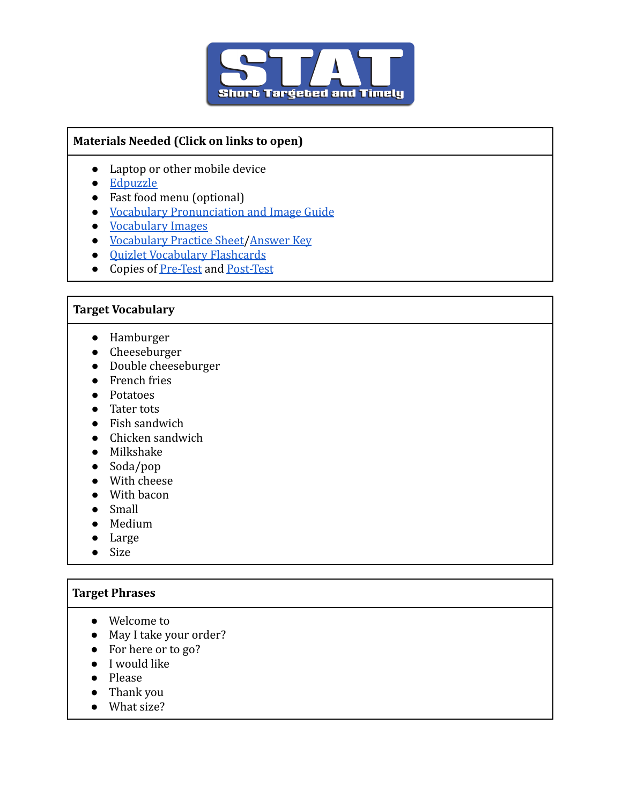

## **Materials Needed (Click on links to open)**

- Laptop or other mobile device
- [Edpuzzle](https://edpuzzle.com/assignments/61aeee9d213d7342b27ffb4d/watch)
- Fast food menu (optional)
- [Vocabulary Pronunciation and Image Guide](https://docs.google.com/document/d/1lfWFnFjZ1ReWX6lZBAtTyKTrFkDjBgwwYvgZsR-IeWs/edit?usp=sharing)
- [Vocabulary](https://docs.google.com/document/d/1mNoM7hmapPczcW2SkXLvucBM6uLtvFU3dusBHhqDU7E/edit?usp=sharing) Images
- [Vocabulary Practice Sheet](https://docs.google.com/document/d/1xd_1jOSeeWeEMa5OLwXJTtlCHkyUbkk8Y9yrLrQ6Q4g/edit)[/Answer Key](https://docs.google.com/document/d/1TpTt_5x75YwLDLCKKv22FQJjFd1Jno43yOXF40ygu30/edit)
- [Quizlet Vocabulary Flashcards](https://quizlet.com/_9w758a?x=1jqt&i=2rb91e)
- Copies of [Pre-Test](https://docs.google.com/document/d/1Wx7cBm6nytxYtEGGFd0K630J6dg_bbv1Hh0-y-SRjYs/edit) and [Post-Test](https://docs.google.com/document/d/13b7KideEz9DMVz4q_N9mCyugXDLW2IkVLNwzkp0mzDE/edit)

#### **Target Vocabulary**

- Hamburger
- Cheeseburger
- Double cheeseburger
- French fries
- Potatoes
- Tater tots
- Fish sandwich
- Chicken sandwich
- Milkshake
- Soda/pop
- With cheese
- With bacon
- Small
- Medium
- Large
- Size

## **Target Phrases**

- Welcome to
- May I take your order?
- For here or to go?
- I would like
- Please
- Thank you
- What size?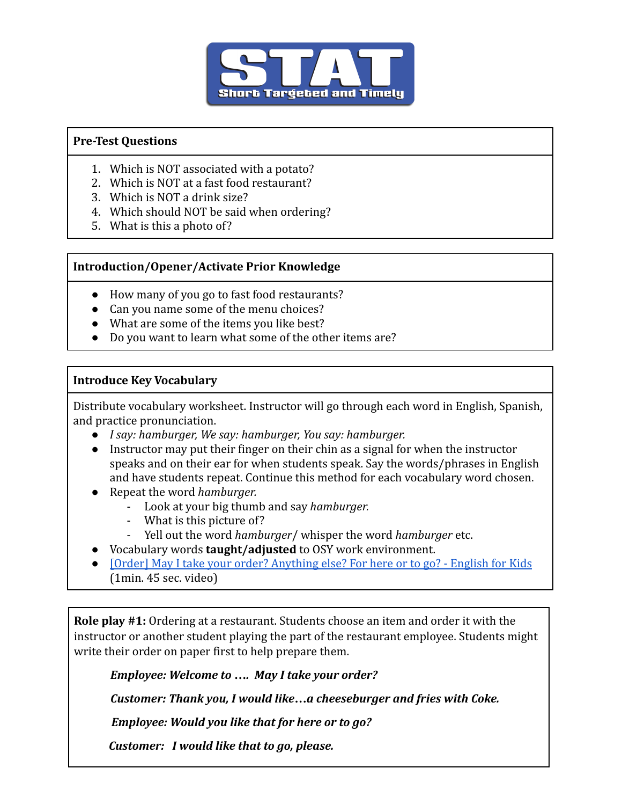

#### **Pre-Test Questions**

- 1. Which is NOT associated with a potato?
- 2. Which is NOT at a fast food restaurant?
- 3. Which is NOT a drink size?
- 4. Which should NOT be said when ordering?
- 5. What is this a photo of?

## **Introduction/Opener/Activate Prior Knowledge**

- How many of you go to fast food restaurants?
- Can you name some of the menu choices?
- What are some of the items you like best?
- Do you want to learn what some of the other items are?

## **Introduce Key Vocabulary**

Distribute vocabulary worksheet. Instructor will go through each word in English, Spanish, and practice pronunciation.

- *I say: hamburger, We say: hamburger, You say: hamburger.*
- *●* Instructor may put their finger on their chin as a signal for when the instructor speaks and on their ear for when students speak. Say the words/phrases in English and have students repeat. Continue this method for each vocabulary word chosen.
- *●* Repeat the word *hamburger.*
	- Look at your big thumb and say *hamburger.*
	- What is this picture of?
	- Yell out the word *hamburger*/ whisper the word *hamburger* etc.
- *●* Vocabulary words **taught/adjusted** to OSY work environment.
- **[\[Order\] May I take your order? Anything else? For here or to go? English for Kids](https://drive.google.com/file/d/1G85XGC-5sKCqga62RDdSWyaaMaIwTlXV/view?usp=sharing)** (1min. 45 sec. video)

**Role play #1:** Ordering at a restaurant. Students choose an item and order it with the instructor or another student playing the part of the restaurant employee. Students might write their order on paper first to help prepare them.

*Employee: Welcome to …. May I take your order?*

*Customer: Thank you, I would like…a cheeseburger and fries with Coke.*

*Employee: Would you like that for here or to go?*

*Customer: I would like that to go, please.*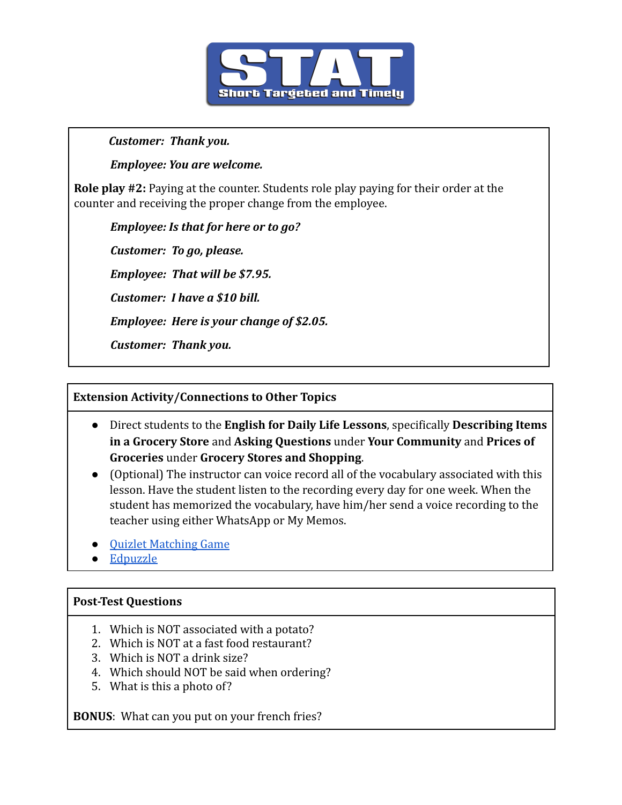

#### *Customer: Thank you.*

*Employee: You are welcome.*

**Role play #2:** Paying at the counter. Students role play paying for their order at the counter and receiving the proper change from the employee.

*Employee: Is that for here or to go?*

*Customer: To go, please.*

*Employee: That will be \$7.95.*

*Customer: I have a \$10 bill.*

*Employee: Here is your change of \$2.05.*

*Customer: Thank you.*

## **Extension Activity/Connections to Other Topics**

- Direct students to the **English for Daily Life Lessons**, specifically **Describing Items in a Grocery Store** and **Asking Questions** under **Your Community** and **Prices of Groceries** under **Grocery Stores and Shopping**.
- (Optional) The instructor can voice record all of the vocabulary associated with this lesson. Have the student listen to the recording every day for one week. When the student has memorized the vocabulary, have him/her send a voice recording to the teacher using either WhatsApp or My Memos.
- [Quizlet Matching Game](https://quizlet.com/598276666/match)
- [Edpuzzle](https://edpuzzle.com/assignments/61aeee9d213d7342b27ffb4d/watch)

## **Post-Test Questions**

- 1. Which is NOT associated with a potato?
- 2. Which is NOT at a fast food restaurant?
- 3. Which is NOT a drink size?
- 4. Which should NOT be said when ordering?
- 5. What is this a photo of?

**BONUS**: What can you put on your french fries?